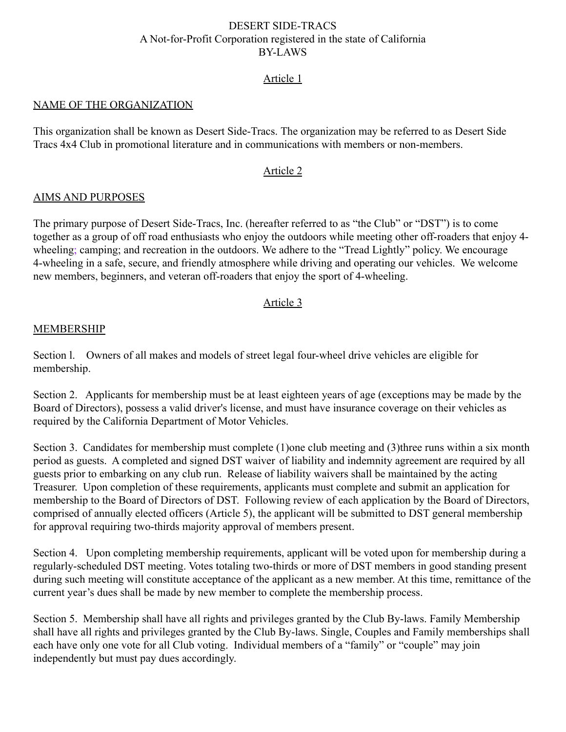## DESERT SIDE-TRACS A Not-for-Profit Corporation registered in the state of California BY-LAWS

## Article 1

#### NAME OF THE ORGANIZATION

This organization shall be known as Desert Side-Tracs. The organization may be referred to as Desert Side Tracs 4x4 Club in promotional literature and in communications with members or non-members.

#### Article 2

#### AIMS AND PURPOSES

The primary purpose of Desert Side-Tracs, Inc. (hereafter referred to as "the Club" or "DST") is to come together as a group of off road enthusiasts who enjoy the outdoors while meeting other off-roaders that enjoy 4 wheeling; camping; and recreation in the outdoors. We adhere to the "Tread Lightly" policy. We encourage 4-wheeling in a safe, secure, and friendly atmosphere while driving and operating our vehicles. We welcome new members, beginners, and veteran off-roaders that enjoy the sport of 4-wheeling.

#### Article 3

#### **MEMBERSHIP**

Section l. Owners of all makes and models of street legal four-wheel drive vehicles are eligible for membership.

Section 2. Applicants for membership must be at least eighteen years of age (exceptions may be made by the Board of Directors), possess a valid driver's license, and must have insurance coverage on their vehicles as required by the California Department of Motor Vehicles.

Section 3. Candidates for membership must complete (1)one club meeting and (3)three runs within a six month period as guests. A completed and signed DST waiver of liability and indemnity agreement are required by all guests prior to embarking on any club run. Release of liability waivers shall be maintained by the acting Treasurer. Upon completion of these requirements, applicants must complete and submit an application for membership to the Board of Directors of DST. Following review of each application by the Board of Directors, comprised of annually elected officers (Article 5), the applicant will be submitted to DST general membership for approval requiring two-thirds majority approval of members present.

Section 4. Upon completing membership requirements, applicant will be voted upon for membership during a regularly-scheduled DST meeting. Votes totaling two-thirds or more of DST members in good standing present during such meeting will constitute acceptance of the applicant as a new member. At this time, remittance of the current year's dues shall be made by new member to complete the membership process.

Section 5. Membership shall have all rights and privileges granted by the Club By-laws. Family Membership shall have all rights and privileges granted by the Club By-laws. Single, Couples and Family memberships shall each have only one vote for all Club voting. Individual members of a "family" or "couple" may join independently but must pay dues accordingly.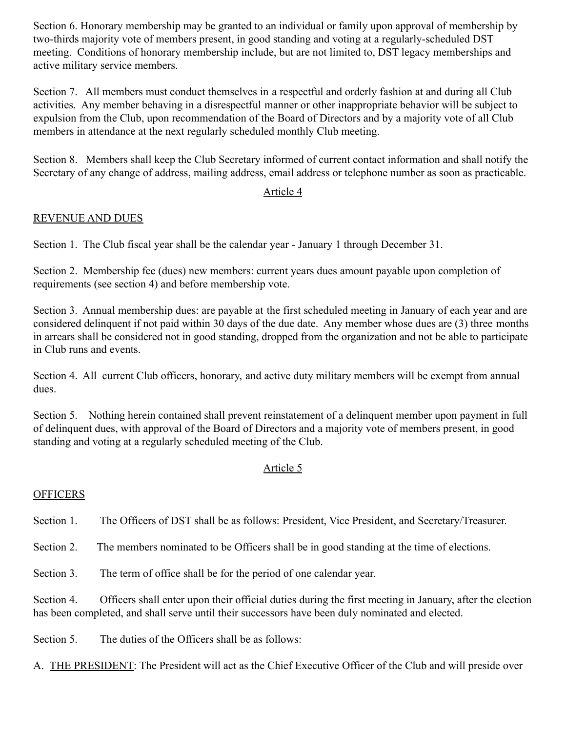Section 6. Honorary membership may be granted to an individual or family upon approval of membership by two-thirds majority vote of members present, in good standing and voting at a regularly-scheduled DST meeting. Conditions of honorary membership include, but are not limited to, DST legacy memberships and active military service members.

Section 7. All members must conduct themselves in a respectful and orderly fashion at and during all Club activities. Any member behaving in a disrespectful manner or other inappropriate behavior will be subject to expulsion from the Club, upon recommendation of the Board of Directors and by a majority vote of all Club members in attendance at the next regularly scheduled monthly Club meeting.

Section 8. Members shall keep the Club Secretary informed of current contact information and shall notify the Secretary of any change of address, mailing address, email address or telephone number as soon as practicable.

# Article 4

# REVENUE AND DUES

Section 1. The Club fiscal year shall be the calendar year - January 1 through December 31.

Section 2. Membership fee (dues) new members: current years dues amount payable upon completion of requirements (see section 4) and before membership vote.

Section 3. Annual membership dues: are payable at the first scheduled meeting in January of each year and are considered delinquent if not paid within 30 days of the due date. Any member whose dues are (3) three months in arrears shall be considered not in good standing, dropped from the organization and not be able to participate in Club runs and events.

Section 4. All current Club officers, honorary, and active duty military members will be exempt from annual dues.

Section 5. Nothing herein contained shall prevent reinstatement of a delinquent member upon payment in full of delinquent dues, with approval of the Board of Directors and a majority vote of members present, in good standing and voting at a regularly scheduled meeting of the Club.

# Article 5

# **OFFICERS**

Section 1. The Officers of DST shall be as follows: President, Vice President, and Secretary/Treasurer.

Section 2. The members nominated to be Officers shall be in good standing at the time of elections.

Section 3. The term of office shall be for the period of one calendar year.

Section 4. Officers shall enter upon their official duties during the first meeting in January, after the election has been completed, and shall serve until their successors have been duly nominated and elected.

Section 5. The duties of the Officers shall be as follows:

A. THE PRESIDENT: The President will act as the Chief Executive Officer of the Club and will preside over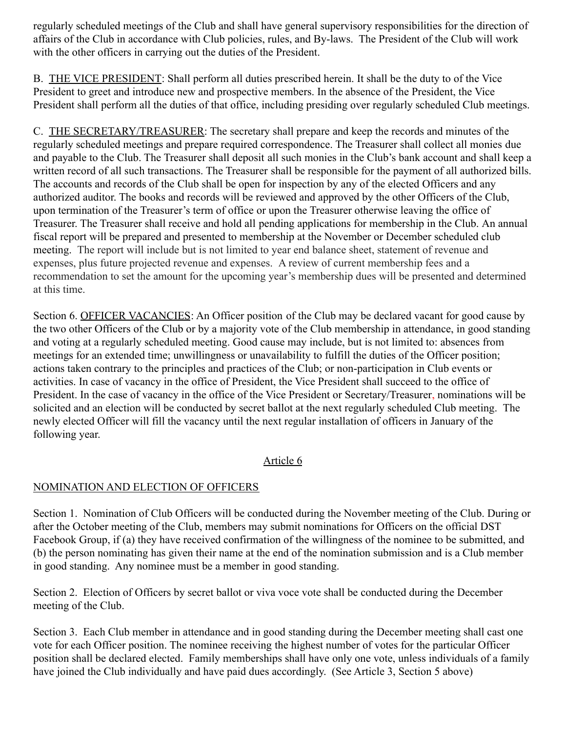regularly scheduled meetings of the Club and shall have general supervisory responsibilities for the direction of affairs of the Club in accordance with Club policies, rules, and By-laws. The President of the Club will work with the other officers in carrying out the duties of the President.

B. THE VICE PRESIDENT: Shall perform all duties prescribed herein. It shall be the duty to of the Vice President to greet and introduce new and prospective members. In the absence of the President, the Vice President shall perform all the duties of that office, including presiding over regularly scheduled Club meetings.

C. THE SECRETARY/TREASURER: The secretary shall prepare and keep the records and minutes of the regularly scheduled meetings and prepare required correspondence. The Treasurer shall collect all monies due and payable to the Club. The Treasurer shall deposit all such monies in the Club's bank account and shall keep a written record of all such transactions. The Treasurer shall be responsible for the payment of all authorized bills. The accounts and records of the Club shall be open for inspection by any of the elected Officers and any authorized auditor. The books and records will be reviewed and approved by the other Officers of the Club, upon termination of the Treasurer's term of office or upon the Treasurer otherwise leaving the office of Treasurer. The Treasurer shall receive and hold all pending applications for membership in the Club. An annual fiscal report will be prepared and presented to membership at the November or December scheduled club meeting. The report will include but is not limited to year end balance sheet, statement of revenue and expenses, plus future projected revenue and expenses. A review of current membership fees and a recommendation to set the amount for the upcoming year's membership dues will be presented and determined at this time.

Section 6. OFFICER VACANCIES: An Officer position of the Club may be declared vacant for good cause by the two other Officers of the Club or by a majority vote of the Club membership in attendance, in good standing and voting at a regularly scheduled meeting. Good cause may include, but is not limited to: absences from meetings for an extended time; unwillingness or unavailability to fulfill the duties of the Officer position; actions taken contrary to the principles and practices of the Club; or non-participation in Club events or activities. In case of vacancy in the office of President, the Vice President shall succeed to the office of President. In the case of vacancy in the office of the Vice President or Secretary/Treasurer, nominations will be solicited and an election will be conducted by secret ballot at the next regularly scheduled Club meeting. The newly elected Officer will fill the vacancy until the next regular installation of officers in January of the following year.

# Article 6

# NOMINATION AND ELECTION OF OFFICERS

Section 1. Nomination of Club Officers will be conducted during the November meeting of the Club. During or after the October meeting of the Club, members may submit nominations for Officers on the official DST Facebook Group, if (a) they have received confirmation of the willingness of the nominee to be submitted, and (b) the person nominating has given their name at the end of the nomination submission and is a Club member in good standing. Any nominee must be a member in good standing.

Section 2. Election of Officers by secret ballot or viva voce vote shall be conducted during the December meeting of the Club.

Section 3. Each Club member in attendance and in good standing during the December meeting shall cast one vote for each Officer position. The nominee receiving the highest number of votes for the particular Officer position shall be declared elected. Family memberships shall have only one vote, unless individuals of a family have joined the Club individually and have paid dues accordingly. (See Article 3, Section 5 above)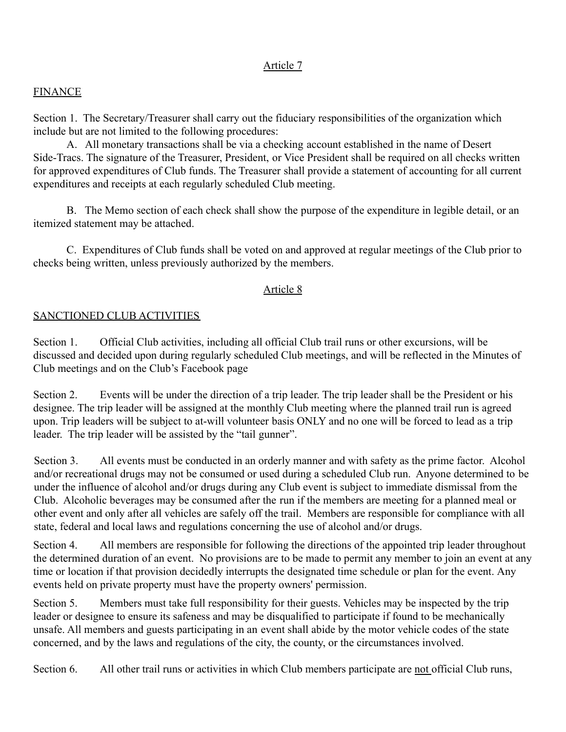# Article 7

## **FINANCE**

Section 1. The Secretary/Treasurer shall carry out the fiduciary responsibilities of the organization which include but are not limited to the following procedures:

A. All monetary transactions shall be via a checking account established in the name of Desert Side-Tracs. The signature of the Treasurer, President, or Vice President shall be required on all checks written for approved expenditures of Club funds. The Treasurer shall provide a statement of accounting for all current expenditures and receipts at each regularly scheduled Club meeting.

B. The Memo section of each check shall show the purpose of the expenditure in legible detail, or an itemized statement may be attached.

C. Expenditures of Club funds shall be voted on and approved at regular meetings of the Club prior to checks being written, unless previously authorized by the members.

### Article 8

### SANCTIONED CLUB ACTIVITIES

Section 1. Official Club activities, including all official Club trail runs or other excursions, will be discussed and decided upon during regularly scheduled Club meetings, and will be reflected in the Minutes of Club meetings and on the Club's Facebook page

Section 2. Events will be under the direction of a trip leader. The trip leader shall be the President or his designee. The trip leader will be assigned at the monthly Club meeting where the planned trail run is agreed upon. Trip leaders will be subject to at-will volunteer basis ONLY and no one will be forced to lead as a trip leader. The trip leader will be assisted by the "tail gunner".

Section 3. All events must be conducted in an orderly manner and with safety as the prime factor. Alcohol and/or recreational drugs may not be consumed or used during a scheduled Club run. Anyone determined to be under the influence of alcohol and/or drugs during any Club event is subject to immediate dismissal from the Club. Alcoholic beverages may be consumed after the run if the members are meeting for a planned meal or other event and only after all vehicles are safely off the trail. Members are responsible for compliance with all state, federal and local laws and regulations concerning the use of alcohol and/or drugs.

Section 4. All members are responsible for following the directions of the appointed trip leader throughout the determined duration of an event. No provisions are to be made to permit any member to join an event at any time or location if that provision decidedly interrupts the designated time schedule or plan for the event. Any events held on private property must have the property owners' permission.

Section 5. Members must take full responsibility for their guests. Vehicles may be inspected by the trip leader or designee to ensure its safeness and may be disqualified to participate if found to be mechanically unsafe. All members and guests participating in an event shall abide by the motor vehicle codes of the state concerned, and by the laws and regulations of the city, the county, or the circumstances involved.

Section 6. All other trail runs or activities in which Club members participate are not official Club runs,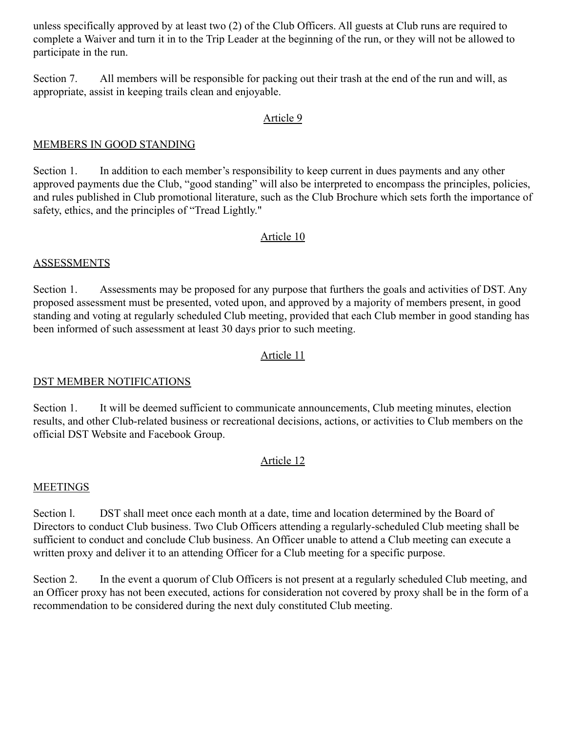unless specifically approved by at least two (2) of the Club Officers. All guests at Club runs are required to complete a Waiver and turn it in to the Trip Leader at the beginning of the run, or they will not be allowed to participate in the run.

Section 7. All members will be responsible for packing out their trash at the end of the run and will, as appropriate, assist in keeping trails clean and enjoyable.

### Article 9

## MEMBERS IN GOOD STANDING

Section 1. In addition to each member's responsibility to keep current in dues payments and any other approved payments due the Club, "good standing" will also be interpreted to encompass the principles, policies, and rules published in Club promotional literature, such as the Club Brochure which sets forth the importance of safety, ethics, and the principles of "Tread Lightly."

### Article 10

#### **ASSESSMENTS**

Section 1. Assessments may be proposed for any purpose that furthers the goals and activities of DST. Any proposed assessment must be presented, voted upon, and approved by a majority of members present, in good standing and voting at regularly scheduled Club meeting, provided that each Club member in good standing has been informed of such assessment at least 30 days prior to such meeting.

## Article 11

#### DST MEMBER NOTIFICATIONS

Section 1. It will be deemed sufficient to communicate announcements, Club meeting minutes, election results, and other Club-related business or recreational decisions, actions, or activities to Club members on the official DST Website and Facebook Group.

## Article 12

## MEETINGS

Section 1. DST shall meet once each month at a date, time and location determined by the Board of Directors to conduct Club business. Two Club Officers attending a regularly-scheduled Club meeting shall be sufficient to conduct and conclude Club business. An Officer unable to attend a Club meeting can execute a written proxy and deliver it to an attending Officer for a Club meeting for a specific purpose.

Section 2. In the event a quorum of Club Officers is not present at a regularly scheduled Club meeting, and an Officer proxy has not been executed, actions for consideration not covered by proxy shall be in the form of a recommendation to be considered during the next duly constituted Club meeting.